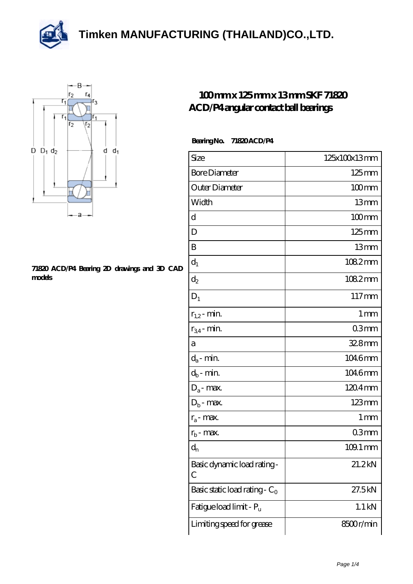



## **[71820 ACD/P4 Bearing 2D drawings and 3D CAD](https://m.thereclaimer.net/pic-65136309.html) [models](https://m.thereclaimer.net/pic-65136309.html)**

## **[100 mm x 125 mm x 13 mm SKF 71820](https://m.thereclaimer.net/skf-71820-acd-p4-bearing/) [ACD/P4 angular contact ball bearings](https://m.thereclaimer.net/skf-71820-acd-p4-bearing/)**

## **Bearing No. 71820 ACD/P4**

| Size                             | 125x100x13mm          |
|----------------------------------|-----------------------|
| <b>Bore Diameter</b>             | $125 \text{mm}$       |
| Outer Diameter                   | $100$ mm              |
| Width                            | 13mm                  |
| d                                | $100$ mm              |
| D                                | $125 \text{mm}$       |
| B                                | 13mm                  |
| $d_1$                            | 1082mm                |
| $\mathrm{d}_2$                   | 1082mm                |
| $D_1$                            | 117mm                 |
| $r_{1,2}$ - min.                 | 1 <sub>mm</sub>       |
| $r_{34}$ - min.                  | 03mm                  |
| а                                | $328$ mm              |
| $d_a$ - min.                     | 1046mm                |
| $d_b$ - min.                     | 1046mm                |
| $D_a$ - max.                     | 1204mm                |
| $D_b$ - max.                     | $123 \text{mm}$       |
| $r_a$ - max.                     | $1 \,\mathrm{mm}$     |
| $r_{b}$ - max.                   | 03 <sub>mm</sub>      |
| $d_{n}$                          | $109.1 \,\mathrm{mm}$ |
| Basic dynamic load rating-<br>С  | 21.2kN                |
| Basic static load rating - $C_0$ | 27.5kN                |
| Fatigue load limit - Pu          | $1.1$ kN              |
| Limiting speed for grease        | 8500r/min             |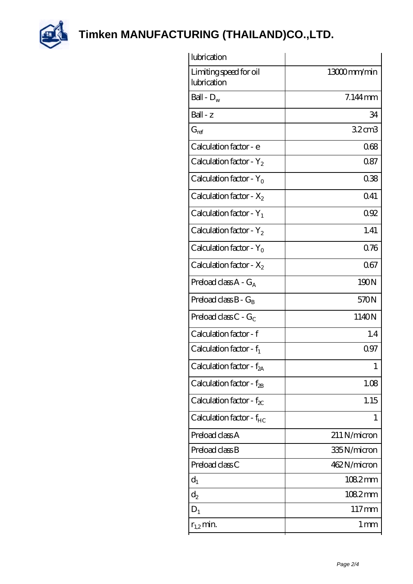

| lubrication                           |                   |
|---------------------------------------|-------------------|
| Limiting speed for oil<br>lubrication | 13000mm/min       |
| Ball - $D_w$                          | $7.144$ mm        |
| $Ball - z$                            | 34                |
| $G_{ref}$                             | 32 <sub>cm3</sub> |
| Calculation factor - e                | 068               |
| Calculation factor - $Y_2$            | 0.87              |
| Calculation factor - $Y_0$            | 038               |
| Calculation factor - $X_2$            | 041               |
| Calculation factor - $Y_1$            | 092               |
| Calculation factor - $Y_2$            | 1.41              |
| Calculation factor - $Y_0$            | 0.76              |
| Calculation factor - $X_2$            | 067               |
| Preload class $A - G_A$               | 190N              |
| Preload class $B - G_B$               | 570N              |
| Preload class $C - G_C$               | 1140N             |
| Calculation factor - f                | 1.4               |
| Calculation factor - $f_1$            | 0.97              |
| Calculation factor - f <sub>2A</sub>  | 1                 |
| Calculation factor - $f_{2B}$         | 1.08              |
| Calculation factor - $f_{\chi}$       | 1.15              |
| Calculation factor - $f_{HC}$         | 1                 |
| Preload class A                       | 211 N/micron      |
| Preload class B                       | 335N/micron       |
| Preload class C                       | 462N/micron       |
| $d_1$                                 | 1082mm            |
| $d_2$                                 | 1082mm            |
| $D_1$                                 | $117 \text{mm}$   |
| $r_{1,2}$ min.                        | 1 mm              |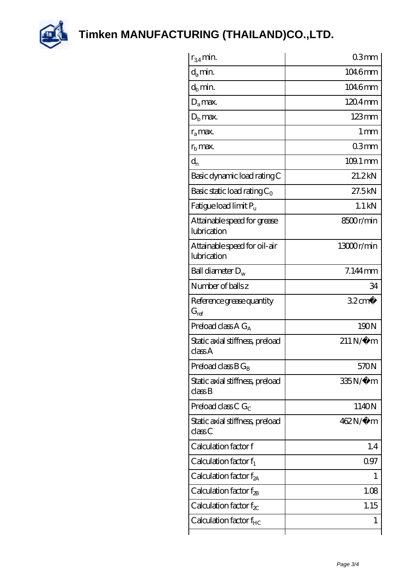

| $r_{34}$ min.                               | 03mm                  |
|---------------------------------------------|-----------------------|
| $d_{a}$ min.                                | 1046mm                |
| $d_h$ min.                                  | 1046mm                |
| $D_a$ max.                                  | $1204$ mm             |
| $Db$ max.                                   | $123$ mm              |
| $r_a$ max.                                  | $1 \,\mathrm{mm}$     |
| $rh$ max.                                   | 03mm                  |
| $d_{n}$                                     | $109.1 \,\mathrm{mm}$ |
| Basic dynamic load rating C                 | 21.2kN                |
| Basic static load rating $C_0$              | 27.5kN                |
| Fatigue load limit Pu                       | $1.1$ kN              |
| Attainable speed for grease<br>lubrication  | 8500r/min             |
| Attainable speed for oil-air<br>lubrication | 13000r/min            |
| Ball diameter $D_w$                         | 7.144mm               |
| Number of balls z                           | 34                    |
| Reference grease quantity<br>$G_{\rm ref}$  | $32 \text{cm}^3$      |
| Preload class A $G_A$                       | 190N                  |
| Static axial stiffness, preload<br>classA   | $211N/\mu$ m          |
| Preload class $B G_B$                       | 570N                  |
| Static axial stiffness, preload<br>classB   | 335N/µ m              |
| Preload class C $G_C$                       | 1140N                 |
| Static axial stiffness, preload<br>classC   | 462N/μ m              |
| Calculation factor f                        | 1.4                   |
| Calculation factor $f_1$                    | 097                   |
| Calculation factor $f_{2A}$                 | I                     |
| Calculation factor $f_{2B}$                 | 1.08                  |
| Calculation factor $f_{\chi}$               | 1.15                  |
| Calculation factor $f_{HC}$                 | 1                     |
|                                             |                       |